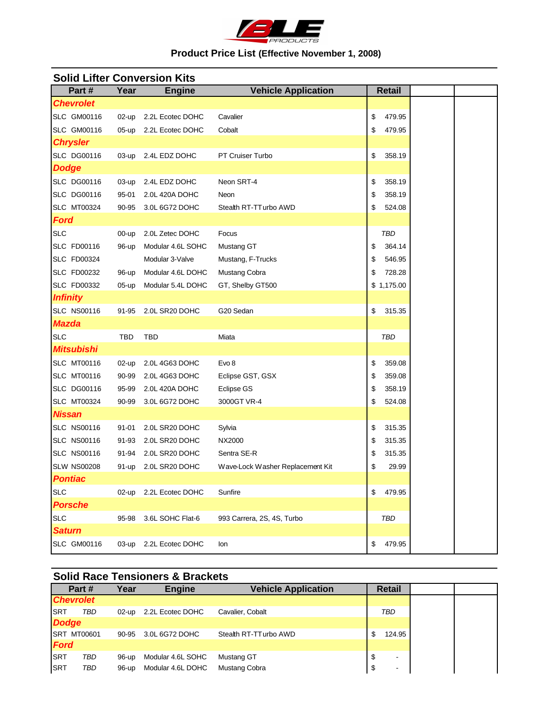

# **Product Price List (Effective November 1, 2008)**

| Part#              | Year      | <b>Engine</b>       | <b>Vehicle Application</b>       | <b>Retail</b> |
|--------------------|-----------|---------------------|----------------------------------|---------------|
| <b>Chevrolet</b>   |           |                     |                                  |               |
| <b>SLC GM00116</b> | $02$ -up  | 2.2L Ecotec DOHC    | Cavalier                         | \$<br>479.95  |
| <b>SLC GM00116</b> | 05-up     | 2.2L Ecotec DOHC    | Cobalt                           | \$<br>479.95  |
| <b>Chrysler</b>    |           |                     |                                  |               |
| <b>SLC DG00116</b> |           | 03-up 2.4L EDZ DOHC | PT Cruiser Turbo                 | \$<br>358.19  |
| <b>Dodge</b>       |           |                     |                                  |               |
| <b>SLC DG00116</b> | $03$ -up  | 2.4L EDZ DOHC       | Neon SRT-4                       | \$<br>358.19  |
| <b>SLC DG00116</b> | 95-01     | 2.0L 420A DOHC      | Neon                             | \$<br>358.19  |
| <b>SLC MT00324</b> | 90-95     | 3.0L 6G72 DOHC      | Stealth RT-TT urbo AWD           | \$<br>524.08  |
| Ford               |           |                     |                                  |               |
| <b>SLC</b>         | $00-up$   | 2.0L Zetec DOHC     | Focus                            | TBD           |
| <b>SLC FD00116</b> | 96-up     | Modular 4.6L SOHC   | Mustang GT                       | \$<br>364.14  |
| <b>SLC FD00324</b> |           | Modular 3-Valve     | Mustang, F-Trucks                | \$<br>546.95  |
| <b>SLC FD00232</b> | 96-up     | Modular 4.6L DOHC   | Mustang Cobra                    | \$<br>728.28  |
| <b>SLC FD00332</b> | 05-up     | Modular 5.4L DOHC   | GT, Shelby GT500                 | \$1,175.00    |
| <b>Infinity</b>    |           |                     |                                  |               |
| <b>SLC NS00116</b> | 91-95     | 2.0L SR20 DOHC      | G20 Sedan                        | \$<br>315.35  |
| <b>Mazda</b>       |           |                     |                                  |               |
| <b>SLC</b>         | TBD       | <b>TBD</b>          | Miata                            | <b>TBD</b>    |
| <b>Mitsubishi</b>  |           |                     |                                  |               |
| <b>SLC MT00116</b> | $02$ -up  | 2.0L 4G63 DOHC      | Evo <sub>8</sub>                 | \$<br>359.08  |
| <b>SLC MT00116</b> | 90-99     | 2.0L 4G63 DOHC      | Eclipse GST, GSX                 | \$<br>359.08  |
| <b>SLC DG00116</b> | 95-99     | 2.0L 420A DOHC      | Eclipse GS                       | \$<br>358.19  |
| <b>SLC MT00324</b> | 90-99     | 3.0L 6G72 DOHC      | 3000GT VR-4                      | \$<br>524.08  |
| <b>Nissan</b>      |           |                     |                                  |               |
| <b>SLC NS00116</b> | $91 - 01$ | 2.0L SR20 DOHC      | Sylvia                           | \$<br>315.35  |
| <b>SLC NS00116</b> | 91-93     | 2.0L SR20 DOHC      | NX2000                           | \$<br>315.35  |
| <b>SLC NS00116</b> | 91-94     | 2.0L SR20 DOHC      | Sentra SE-R                      | \$<br>315.35  |
| <b>SLW NS00208</b> | 91-up     | 2.0L SR20 DOHC      | Wave-Lock Washer Replacement Kit | \$<br>29.99   |
| <b>Pontiac</b>     |           |                     |                                  |               |
| <b>SLC</b>         | $02$ -up  | 2.2L Ecotec DOHC    | Sunfire                          | \$<br>479.95  |
| <b>Porsche</b>     |           |                     |                                  |               |
| <b>SLC</b>         | 95-98     | 3.6L SOHC Flat-6    | 993 Carrera, 2S, 4S, Turbo       | TBD           |
| <b>Saturn</b>      |           |                     |                                  |               |
| <b>SLC GM00116</b> | 03-up     | 2.2L Ecotec DOHC    | Ion                              | \$<br>479.95  |

# **Solid Lifter Conversion Kits**

# **Solid Race Tensioners & Brackets**

|              | Part#              | Year     | <b>Engine</b>     | <b>Vehicle Application</b> | <b>Retail</b>        |
|--------------|--------------------|----------|-------------------|----------------------------|----------------------|
|              | <b>Chevrolet</b>   |          |                   |                            |                      |
| <b>ISRT</b>  | TBD                | $02$ -up | 2.2L Ecotec DOHC  | Cavalier, Cobalt           | TBD                  |
| <b>Dodge</b> |                    |          |                   |                            |                      |
|              | <b>SRT MT00601</b> | 90-95    | 3.0L 6G72 DOHC    | Stealth RT-TT urbo AWD     | 124.95               |
| <b>Ford</b>  |                    |          |                   |                            |                      |
| <b>ISRT</b>  | TBD                | 96-up    | Modular 4.6L SOHC | Mustang GT                 | \$<br>-              |
| <b>SRT</b>   | TBD                | 96-up    | Modular 4.6L DOHC | Mustang Cobra              | \$<br>$\blacksquare$ |